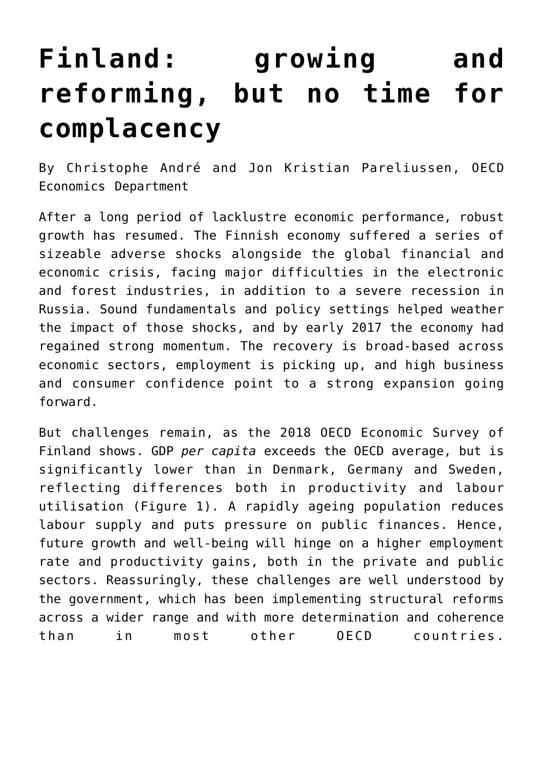## **[Finland: growing and](https://oecdecoscope.blog/2018/03/01/finland-growing-and-reforming-but-no-time-for-complacency/) [reforming, but no time for](https://oecdecoscope.blog/2018/03/01/finland-growing-and-reforming-but-no-time-for-complacency/) [complacency](https://oecdecoscope.blog/2018/03/01/finland-growing-and-reforming-but-no-time-for-complacency/)**

By Christophe André and Jon Kristian Pareliussen, OECD Economics Department

After a long period of lacklustre economic performance, robust growth has resumed. The Finnish economy suffered a series of sizeable adverse shocks alongside the global financial and economic crisis, facing major difficulties in the electronic and forest industries, in addition to a severe recession in Russia. Sound fundamentals and policy settings helped weather the impact of those shocks, and by early 2017 the economy had regained strong momentum. The recovery is broad-based across economic sectors, employment is picking up, and high business and consumer confidence point to a strong expansion going forward.

But challenges remain, as the [2018 OECD Economic Survey of](http://www.oecd.org/eco/surveys/economic-survey-finland.htm) [Finland](http://www.oecd.org/eco/surveys/economic-survey-finland.htm) shows. GDP *per capita* exceeds the OECD average, but is significantly lower than in Denmark, Germany and Sweden, reflecting differences both in productivity and labour utilisation (Figure 1). A rapidly ageing population reduces labour supply and puts pressure on public finances. Hence, future growth and well-being will hinge on a higher employment rate and productivity gains, both in the private and public sectors. Reassuringly, these challenges are well understood by the government, which has been implementing structural reforms across a wider range and with more determination and coherence than in most other OECD countries.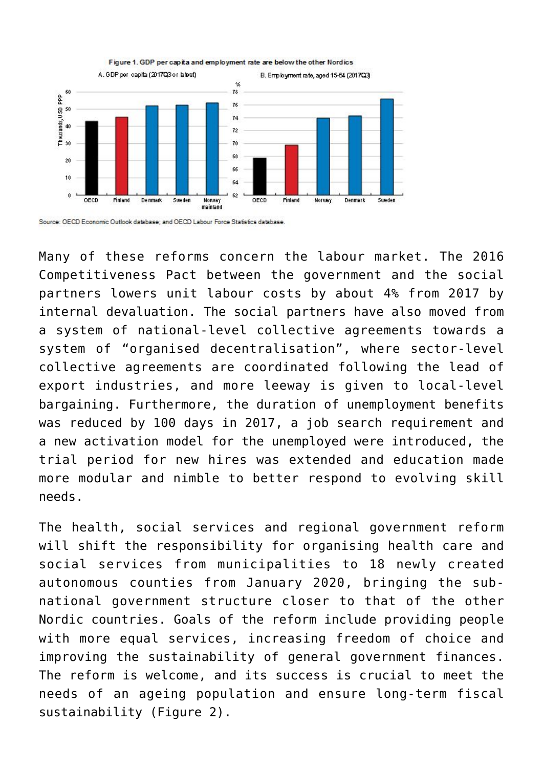

Figure 1. GDP per capita and employment rate are below the other Nordics

Many of these reforms concern the labour market. The 2016 Competitiveness Pact between the government and the social partners lowers unit labour costs by about 4% from 2017 by internal devaluation. The social partners have also moved from a system of national-level collective agreements towards a system of "organised decentralisation", where sector-level collective agreements are coordinated following the lead of export industries, and more leeway is given to local-level bargaining. Furthermore, the duration of unemployment benefits was reduced by 100 days in 2017, a job search requirement and a new activation model for the unemployed were introduced, the trial period for new hires was extended and education made more modular and nimble to better respond to evolving skill needs.

The health, social services and regional government reform will shift the responsibility for organising health care and social services from municipalities to 18 newly created autonomous counties from January 2020, bringing the subnational government structure closer to that of the other Nordic countries. Goals of the reform include providing people with more equal services, increasing freedom of choice and improving the sustainability of general government finances. The reform is welcome, and its success is crucial to meet the needs of an ageing population and ensure long-term fiscal sustainability (Figure 2).

Source: OECD Economic Outlook database; and OECD Labour Force Statistics database.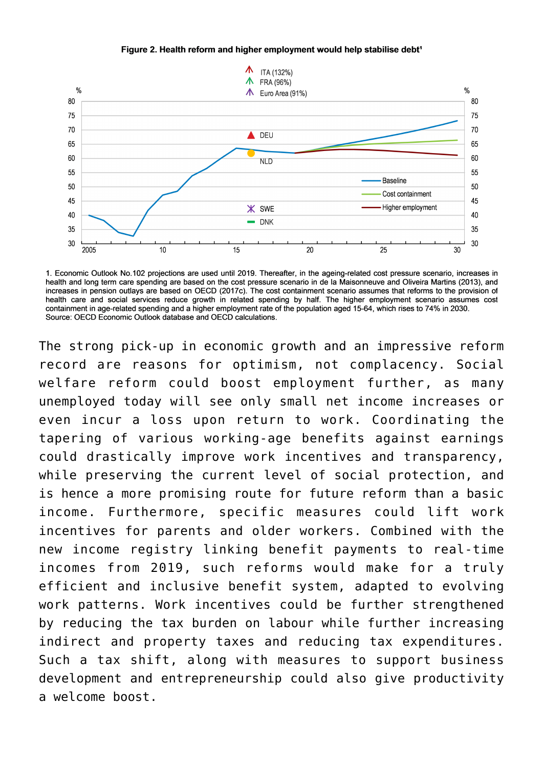



1. Economic Outlook No.102 projections are used until 2019. Thereafter, in the ageing-related cost pressure scenario, increases in health and long term care spending are based on the cost pressure scenario in de la Maisonneuve and Oliveira Martins (2013), and increases in pension outlays are based on OECD (2017c). The cost containment scenario assumes that reforms to the provision of health care and social services reduce growth in related spending by half. The higher employment scenario assumes cost containment in age-related spending and a higher employment rate of the population aged 15-64, which rises to 74% in 2030. Source: OECD Economic Outlook database and OECD calculations.

The strong pick-up in economic growth and an impressive reform record are reasons for optimism, not complacency. Social welfare reform could boost employment further, as many unemployed today will see only small net income increases or even incur a loss upon return to work. Coordinating the tapering of various working-age benefits against earnings could drastically improve work incentives and transparency, while preserving the current level of social protection, and is hence [a more promising route for future reform than a basic](https://oecdecoscope.blog/2018/02/28/why-would-a-universal-credit-be-better-than-a-basic-income-for-finland/) [income.](https://oecdecoscope.blog/2018/02/28/why-would-a-universal-credit-be-better-than-a-basic-income-for-finland/) Furthermore, specific measures could lift work incentives for parents and older workers. Combined with the new income registry linking benefit payments to real-time incomes from 2019, such reforms would make for a truly efficient and inclusive benefit system, adapted to evolving work patterns. Work incentives could be further strengthened by reducing the tax burden on labour while further increasing indirect and property taxes and reducing tax expenditures. Such a tax shift, along with measures to support business development and entrepreneurship could also give productivity a welcome boost.